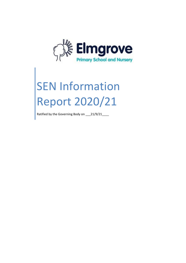

# SEN Information Report 2020/21

Ratified by the Governing Body on \_\_\_21/9/21\_\_\_\_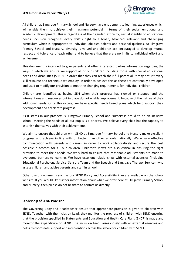

All children at Elmgrove Primary School and Nursery have entitlement to learning experiences which will enable them to achieve their maximum potential in terms of their social, emotional and academic development. This is regardless of their gender, ethnicity, sexual identity or educational needs. Inclusion recognises every child's right to a broad, balanced, relevant and challenging curriculum which is appropriate to individual abilities, talents and personal qualities. At Elmgrove Primary School and Nursery, diversity is valued and children are encouraged to develop mutual respect and tolerance of each other and to believe that there are no limits to individual effort and achievement.

This document is intended to give parents and other interested parties information regarding the ways in which we ensure we support all of our children including those with special educational needs and disabilities (SEND), in order that they can reach their full potential. It may not list every skill resource and technique we employ, in order to achieve this as these are continually developed and used to modify our provision to meet the changing requirements for individual children.

Children are identified as having SEN when their progress has slowed or stopped and the interventions and resources put in place do not enable improvement, because of the nature of their additional needs. Once this occurs, we have specific needs based plans which help support their development and accelerate progress.

As it states in our prospectus, Elmgrove Primary School and Nursery is proud to be an inclusive school. Meeting the needs of all our pupils is a priority. We believe every child has the capacity to astonish themselves with their achievements.

We aim to ensure that children with SEND at Elmgrove Primary School and Nursery make excellent progress and achieve in line with or better than other schools nationally. We ensure effective communication with parents and carers, in order to work collaboratively and secure the best possible outcomes for all our children. Children's views are also critical in ensuring the right provision to meet their needs. We work hard to ensure that reasonable adjustments are made to overcome barriers to learning. We have excellent relationships with external agencies (including Educational Psychology Service, Sensory Team and the Speech and Language Therapy Service), who assess children and advise parents and staff in school.

Other useful documents such as our SEND Policy and Accessibility Plan are available on the school website. If you would like further information about what we offer here at Elmgrove Primary School and Nursery, then please do not hesitate to contact us directly.

#### **Leadership of SEND Provision**

The Governing Body and Headteacher ensure that appropriate provision is given to children with SEND. Together with the Inclusion Lead, they monitor the progress of children with SEND ensuring that the provision specified in Statements and Education and Health Care Plans (EHCP) is made and monitor the expenditure on SEND. The Inclusion Lead liaises closely with all external agencies and helps to coordinate support and interventions across the school for children with SEND.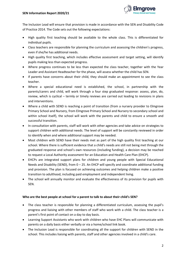

The Inclusion Lead will ensure that provision is made in accordance with the SEN and Disability Code of Practice 2014. The Code sets out the following expectations:

- High quality first teaching should be available to the whole class. This is differentiated for individual pupils.
- Class teachers are responsible for planning the curriculum and assessing the children's progress, even if she/he has additional needs.
- High quality first teaching, which includes effective assessment and target setting, will identify pupils making less than expected progress.
- Where progress continues to be less than expected the class teacher, together with the Year Leader and Assistant Headteacher for the phase, will assess whether the child has SEN.
- If parents have concerns about their child, they should make an appointment to see the class teacher.
- Where a special educational need is established, the school, in partnership with the parents/carers and child, will work through a four step graduated response: assess, plan, do, review, which is cyclical – termly or timely reviews are carried out leading to revisions in plans and interventions.
- Where a child with SEND is reaching a point of transition (from a nursery provider to Elmgrove Primary School and Nursery, from Elmgrove Primary School and Nursery to secondary school and within school itself), the school will work with the parents and child to ensure a smooth and successful transition.
- In consultation with parents, staff will work with other agencies and take advice on strategies to support children with additional needs. The level of support will be constantly reviewed in order to identify when and where additional support may be needed.
- Most children with SEND have their needs met as part of the high quality first teaching at our school. Where there is sufficient evidence that a child's needs are still not being met through the graduated response and school's own resources (including funding), a decision may be reached to request a Local Authority assessment for an Education and Health Care Plan (EHCP).
- EHCPs are integrated support plans for children and young people with Special Educational Needs and Disability (SEND), from 0 – 25. An EHCP will specify and coordinate additional funding and provision. The plan is focused on achieving outcomes and helping children make a positive transition to adulthood, including paid employment and independent living.
- The school will annually monitor and evaluate the effectiveness of its provision for pupils with SEN.

# **Who are the best people at school for a parent to talk to about their child's SEN?**

- The class teacher is responsible for planning a differentiated curriculum, assessing the pupil's progress and liaising with other members of staff who work with a child. The class teacher is a parent's first point of contact on a day to day basis.
- Learning Support Assistants who work with children who have EHC Plans will communicate with parents on a daily basis either verbally or via a home/school link book.
- The Inclusion Lead is responsible for coordinating all the support for children with SEND in the school. This includes liaising with parents, staff and other agencies involved in a child's care.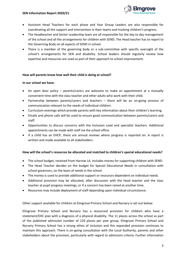

- Assistant Head Teachers for each phase and Year Group Leaders are also responsible for coordinating all the support and intervention in their teams and tracking children's progress.
- The Headteacher and Senior Leadership team are all responsible for the day to day management of the school and all the arrangements for children with SEND. The Head teacher has to report to the Governing Body on all aspects of SEND in school.
- There is a member of the governing body or a sub-committee with specific oversight of the school's arrangements for SEN and disability. School leaders should regularly review how expertise and resources are used as part of their approach to school improvement.

#### **How will parents know how well their child is doing at school?**

#### **In our school we have:**

- An open door policy parents/carers are welcome to make an appointment at a mutually convenient time with the class teacher and other adults who work with their child.
- Partnership between parents/carers and teachers there will be an on-going process of communication relevant to the needs of individual children.
- Curriculum evenings which provide parents with key information about their children's learning.
- Emails and phone calls will be used to ensure good communication between parents/carers and staff.
- Opportunities to discuss concerns with the Inclusion Lead and specialist teachers. Additional appointments can be made with staff via the school office.
- If a child has an EHCP, there are annual reviews where progress is reported on. A report is written and made available to all stakeholders.

#### **How will the school's resources be allocated and matched to children's special educational needs?**

- The school budget, received from Harrow LA, includes money for supporting children with SEND.
- The Head Teacher decides on the budget for Special Educational Needs in consultation with school governors, on the basis of needs in the school.
- The money is used to provide additional support or resources dependent on individual needs.
- Additional provision may be allocated, after discussion with the head teacher and the class teacher at pupil progress meetings, or if a concern has been raised at another time.
- Resources may include deployment of staff depending upon individual circumstance.

Other support available for children at Elmgrove Primary School and Nursery is set out below:

Elmgrove Primary School and Nursery has a resourced provision for children who have a statement/EHC plan with a diagnosis of a physical disability. The 11 places across the school as part of the published admission number of 120 places per year group. Elmgrove Primary School and Nursery Primary School has a strong ethos of inclusion and this expanded provision continues to maintain this approach. There is on-going consultation with the Local Authority, parents and other stakeholders about the provision, particularly with regard to admission criteria. Further information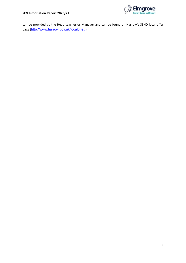

can be provided by the Head teacher or Manager and can be found on Harrow's SEND local offer page ([http://www.harrow.gov.uk/localoffer/\)](http://www.harrow.gov.uk/localoffer/).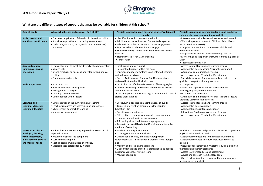# **SEN Information Report 2020/21**



# **What are the different types of support that may be available for children at this school?**

| Area of needs                                                                                                             | Whole school ethos and practice - Part of QFT                                                                                                                                                                                                    | Possible focussed support for some children's additional                                                                                                                                                                                                                                                                                                                                                       | Possible support and intervention for a small number of                                                                                                                                                                                                                                                                                                                                                                                                                                                        |
|---------------------------------------------------------------------------------------------------------------------------|--------------------------------------------------------------------------------------------------------------------------------------------------------------------------------------------------------------------------------------------------|----------------------------------------------------------------------------------------------------------------------------------------------------------------------------------------------------------------------------------------------------------------------------------------------------------------------------------------------------------------------------------------------------------------|----------------------------------------------------------------------------------------------------------------------------------------------------------------------------------------------------------------------------------------------------------------------------------------------------------------------------------------------------------------------------------------------------------------------------------------------------------------------------------------------------------------|
|                                                                                                                           |                                                                                                                                                                                                                                                  | needs                                                                                                                                                                                                                                                                                                                                                                                                          | children who may or may not have an EHC                                                                                                                                                                                                                                                                                                                                                                                                                                                                        |
| Social, mental and<br>emotional health needs                                                                              | • Consistent application of the school's behaviour policy<br>• A positive supportive and nurturing environment<br>• Circle time/Personal, Social, Health Education (PSHE)<br>curriculum                                                          | · Identification and assessment in school<br>• Additional advice and support from outside agencies<br>• Adaptations to the curriculum to secure engagement<br>• Support to build relationships and engage<br>• Trained Learning Mentor to overcome barriers to social<br>inclusion<br>• Trained therapist for 1:1 counselling<br>• School nurse                                                                | • Interventions are implemented, reviewed and revised<br>. Work with parents to refer to Child and Adult Mental<br>Health Services (CAMHS)<br>• Targeted intervention to promote social skills and<br>emotional resilience<br>• Adaptations to physical environment e.g. time out<br>• Monitoring and support in unstructured time e.g. breaks/<br>lunch<br>• Individual Learning Plan                                                                                                                         |
| Speech, language,<br>communication and<br>interaction                                                                     | • Training for staff to meet the diversity of communication<br>language skills<br>• Strong emphasis on speaking and listening and phonics<br>teaching<br>• Communication friendly                                                                | • Small group phonic support<br>• Personalised support within the class<br>• Language monitoring systems upon entry to Reception<br>and follow up provision<br>• Speech And Language Therapy (SALT) interventions<br>delivered by the school inclusion team                                                                                                                                                    | • Access to small teaching and learning groups<br>• Additional in class Teaching Assistant (TA) support<br>• Alternative communication systems<br>• Access to personal IT/ adapted IT equipment<br>• Speech & Language Therapy planned and delivered by<br>qualified therapist or therapy assistant                                                                                                                                                                                                            |
| <b>Autistic spectrum</b>                                                                                                  | • Structured day<br>• Positive behaviour management<br>· Management strategies.<br>• Learning style understood.<br>• Differentiation within lessons                                                                                              | • Curriculum modified to take account of learning styles<br>• Individual coaching and support from the class teacher<br>and our Inclusion Team<br>• Use of appropriate resources e.g. visual timetables, social<br>stories, work stations.                                                                                                                                                                     | $\bullet$ 1:1 support<br>• Advice and support via Autism outreach team<br>• Small group targeted intervention.<br>• IT used to reduce barriers<br>• Alternative communication systems - Makaton. Picture<br><b>Exchange Communication System</b>                                                                                                                                                                                                                                                               |
| <b>Cognitive and</b><br>Learning/Moderate<br><b>Learning Difficulties</b>                                                 | • Differentiation of the curriculum and teaching<br>• Teaching resources are accessible and appropriate<br>• Multi sensory approach to learning<br>• Interactive environment                                                                     | • Curriculum is adapted to meet the needs of pupils<br>• Targeted intervention programmes Independent<br><b>Education Plan</b><br>• Specific goals- short steps<br>• Differentiated resources are provided as appropriate<br>• Learning support via in school Inclusion<br>• 1:1 reading alongside intervention programmes<br>• Access to personal IT/adapted IT equipment alternative<br>methods of recording | • Access to small teaching and learning groups<br>• Additional in class TA support<br>• Additional specialist teaching support<br>• Educational Psychology assessment / support<br>• Access to personal IT/ adapted IT equipment                                                                                                                                                                                                                                                                               |
| <b>Sensory and physical</b><br>needs (e.g. hearing,<br>visual impairment,<br>multi-sensory, physical<br>and medical needs | • Referrals to Harrow Hearing Impaired Service or Visual<br><b>Impaired Service</b><br>• Provision of specialised equipment<br>• Curriculum is adapted<br>• Seating position within class prioritised.<br>• Medical needs catered for by welfare | • Modified learning environment.<br>• Learning support via our Inclusion team.<br>• Occupational Therapy and Physiotherapy from<br>experienced TAs & inclusion team working from Therapy<br>plans<br>• Mobility and care plan management<br>• Liaison with a range of medical professionals as needed<br>assistance via School Nursing Team<br>• Medical needs plan                                            | . Individual protocols and plans for children with significant<br>physical and or medical needs.<br>• Additional modifications to the school environment<br>• Additional resources to reduce individual barriers to<br>learning<br>• Occupational Therapy and Physiotherapy from qualified<br>therapists and therapy assistants<br>• Access to external advice and assessment.<br>• Advice and outreach from Sensory Team<br>• Care Teaching Assistant to oversee the more complex<br>medical needs of a child |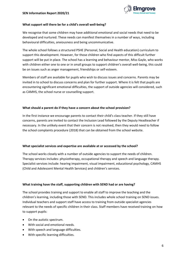

#### **What support will there be for a child's overall well‐being?**

We recognise that some children may have additional emotional and social needs that need to be developed and nurtured. These needs can manifest themselves in a number of ways, including behavioural difficulties, anxiousness and being uncommunicative.

The whole school follows a structured PSHE (Personal, Social and Health education) curriculum to support this development. However, for those children who find aspects of this difficult further support will be put in place. The school has a learning and behaviour mentor, Miss Gayle, who works with children either one to one or in small groups to support children's overall well-being, this could be on issues such as anger management, friendships or self-esteem.

Members of staff are available for pupils who wish to discuss issues and concerns. Parents may be invited in to school to discuss concerns and plan for further support. Where it is felt that pupils are encountering significant emotional difficulties, the support of outside agencies will considered, such as CAMHS, the school nurse or counselling support.

### **What should a parent do if they have a concern about the school provision?**

In the first instance we encourage parents to contact their child's class teacher. If they still have concerns, parents are invited to contact the Inclusion Lead followed by the Deputy Headteacher if necessary. In the unlikely event that their concern is not resolved, then they would need to follow the school complaints procedure (2018) that can be obtained from the school website.

#### **What specialist services and expertise are available at or accessed by the school?**

The school works closely with a number of outside agencies to support the needs of children. Therapy services includes: physiotherapy, occupational therapy and speech and language therapy. Specialist services include: hearing impairment, visual impairment, educational psychology, CAMHS (Child and Adolescent Mental Health Services) and children's services.

#### **What training have the staff, supporting children with SEND had or are having?**

The school provides training and support to enable all staff to improve the teaching and the children's learning, including those with SEND. This includes whole school training on SEND issues. Individual teachers and support staff have access to training from outside specialist agencies relevant to the needs of specific children in their class. Staff members have received training on how to support pupils:

- On the autistic spectrum.
- With social and emotional needs.
- With speech and language difficulties.
- With specific learning difficulties.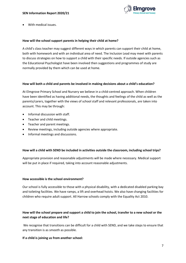

With medical issues.

#### **How will the school support parents in helping their child at home?**

A child's class teacher may suggest different ways in which parents can support their child at home, both with homework and with an individual area of need. The Inclusion Lead may meet with parents to discuss strategies on how to support a child with their specific needs. If outside agencies such as the Educational Psychologist have been involved then suggestions and programmes of study are normally provided by them which can be used at home.

#### **How will both a child and parents be involved in making decisions about a child's education?**

At Elmgrove Primary School and Nursery we believe in a child-centred approach. When children have been identified as having additional needs, the thoughts and feelings of the child as well as the parents/carers, together with the views of school staff and relevant professionals, are taken into account. This may be through:

- Informal discussion with staff.
- Teacher and child meetings.
- Teacher and parent meetings.
- Review meetings, including outside agencies where appropriate.
- Informal meetings and discussions.

#### **How will a child with SEND be included in activities outside the classroom, including school trips?**

Appropriate provision and reasonable adjustments will be made where necessary. Medical support will be put in place if required, taking into account reasonable adjustments.

#### **How accessible is the school environment?**

Our school is fully accessible to those with a physical disability, with a dedicated disabled parking bay and toileting facilities. We have ramps, a lift and overhead hoists. We also have changing facilities for children who require adult support. All Harrow schools comply with the Equality Act 2010.

# **How will the school prepare and support a child to join the school, transfer to a new school or the next stage of education and life?**

We recognise that transitions can be difficult for a child with SEND, and we take steps to ensure that any transition is as smooth as possible.

#### **If a child is joining us from another school:**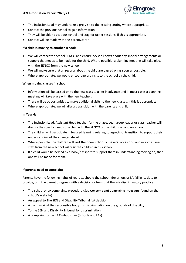

- The Inclusion Lead may undertake a pre-visit to the existing setting where appropriate.
- Contact the previous school to gain information.
- They will be able to visit our school and stay for taster sessions, if this is appropriate.
- Contact will be made with the parent/carer.

# **If a child is moving to another school:**

- We will contact the school SENCO and ensure he/she knows about any special arrangements or support that needs to be made for the child. Where possible, a planning meeting will take place with the SENCO from the new school.
- We will make sure that all records about the child are passed on as soon as possible.
- Where appropriate, we would encourage pre visits to the school by the child.

# **When moving classes in school:**

- Information will be passed on to the new class teacher in advance and in most cases a planning meeting will take place with the new teacher.
- There will be opportunities to make additional visits to the new classes, if this is appropriate.
- Where appropriate, we will discuss transition with the parents and child.

# **In Year 6:**

- The Inclusion Lead, Assistant Head teacher for the phase, year group leader or class teacher will discuss the specific needs of a child with the SENCO of the child's secondary school.
- The children will participate in focused learning relating to aspects of transition, to support their understanding of the changes ahead.
- Where possible, the children will visit their new school on several occasions, and in some cases staff from the new school will visit the children in this school.
- If a child would be helped by a book/passport to support them in understanding moving on, then one will be made for them.

# **If parents need to complain:**

Parents have the following rights of redress, should the school, Governors or LA fail in its duty to provide, or if the parent disagrees with a decision or feels that there is discriminatory practice:

- The school or LA complaints procedure (See **Concerns and Complaints Procedure** found on the school's website)
- An appeal to The SEN and Disability Tribunal (LA decision)
- A claim against the responsible body for discrimination on the grounds of disability
- To the SEN and Disability Tribunal for discrimination
- A complaint to the LA Ombudsman (Schools and LAs)